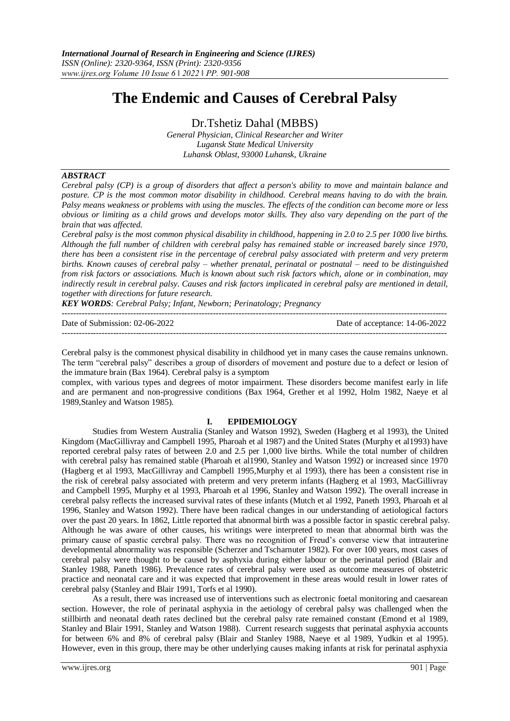# **The Endemic and Causes of Cerebral Palsy**

Dr.Tshetiz Dahal (MBBS)

*General Physician, Clinical Researcher and Writer Lugansk State Medical University Luhansk Oblast, 93000 Luhansk, Ukraine*

## *ABSTRACT*

*Cerebral palsy (CP) is a group of disorders that affect a person's ability to move and maintain balance and posture. CP is the most common motor disability in childhood. Cerebral means having to do with the brain. Palsy means weakness or problems with using the muscles. The effects of the condition can become more or less obvious or limiting as a child grows and develops motor skills. They also vary depending on the part of the brain that was affected.*

*Cerebral palsy is the most common physical disability in childhood, happening in 2.0 to 2.5 per 1000 live births. Although the full number of children with cerebral palsy has remained stable or increased barely since 1970, there has been a consistent rise in the percentage of cerebral palsy associated with preterm and very preterm births. Known causes of cerebral palsy – whether prenatal, perinatal or postnatal – need to be distinguished from risk factors or associations. Much is known about such risk factors which, alone or in combination, may indirectly result in cerebral palsy. Causes and risk factors implicated in cerebral palsy are mentioned in detail, together with directions for future research.*

*KEY WORDS: Cerebral Palsy; Infant, Newborn; Perinatology; Pregnancy*

| Date of Submission: 02-06-2022 | Date of acceptance: 14-06-2022 |
|--------------------------------|--------------------------------|
|                                |                                |

Cerebral palsy is the commonest physical disability in childhood yet in many cases the cause remains unknown. The term "cerebral palsy" describes a group of disorders of movement and posture due to a defect or lesion of the immature brain (Bax 1964). Cerebral palsy is a symptom

complex, with various types and degrees of motor impairment. These disorders become manifest early in life and are permanent and non-progressive conditions (Bax 1964, Grether et al 1992, Holm 1982, Naeye et al 1989,Stanley and Watson 1985).

# **I. EPIDEMIOLOGY**

Studies from Western Australia (Stanley and Watson 1992), Sweden (Hagberg et al 1993), the United Kingdom (MacGillivray and Campbell 1995, Pharoah et al 1987) and the United States (Murphy et al1993) have reported cerebral palsy rates of between 2.0 and 2.5 per 1,000 live births. While the total number of children with cerebral palsy has remained stable (Pharoah et al1990, Stanley and Watson 1992) or increased since 1970 (Hagberg et al 1993, MacGillivray and Campbell 1995,Murphy et al 1993), there has been a consistent rise in the risk of cerebral palsy associated with preterm and very preterm infants (Hagberg et al 1993, MacGillivray and Campbell 1995, Murphy et al 1993, Pharoah et al 1996, Stanley and Watson 1992). The overall increase in cerebral palsy reflects the increased survival rates of these infants (Mutch et al 1992, Paneth 1993, Pharoah et al 1996, Stanley and Watson 1992). There have been radical changes in our understanding of aetiological factors over the past 20 years. In 1862, Little reported that abnormal birth was a possible factor in spastic cerebral palsy. Although he was aware of other causes, his writings were interpreted to mean that abnormal birth was the primary cause of spastic cerebral palsy. There was no recognition of Freud's converse view that intrauterine developmental abnormality was responsible (Scherzer and Tscharnuter 1982). For over 100 years, most cases of cerebral palsy were thought to be caused by asphyxia during either labour or the perinatal period (Blair and Stanley 1988, Paneth 1986). Prevalence rates of cerebral palsy were used as outcome measures of obstetric practice and neonatal care and it was expected that improvement in these areas would result in lower rates of cerebral palsy (Stanley and Blair 1991, Torfs et al 1990).

As a result, there was increased use of interventions such as electronic foetal monitoring and caesarean section. However, the role of perinatal asphyxia in the aetiology of cerebral palsy was challenged when the stillbirth and neonatal death rates declined but the cerebral palsy rate remained constant (Emond et al 1989, Stanley and Blair 1991, Stanley and Watson 1988). Current research suggests that perinatal asphyxia accounts for between 6% and 8% of cerebral palsy (Blair and Stanley 1988, Naeye et al 1989, Yudkin et al 1995). However, even in this group, there may be other underlying causes making infants at risk for perinatal asphyxia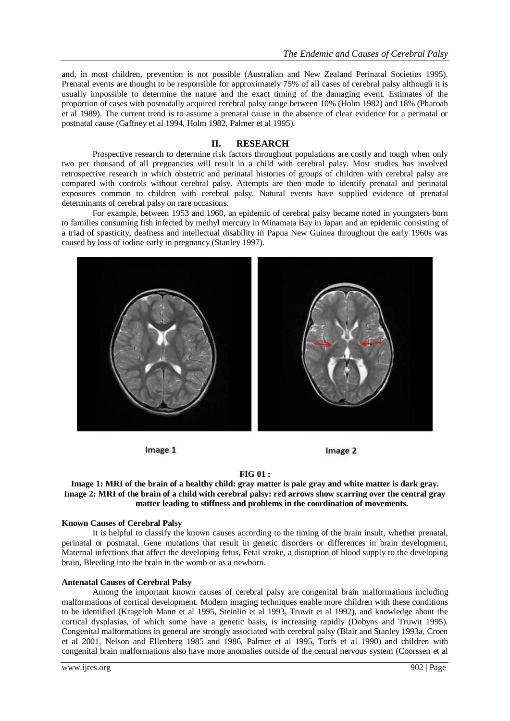and, in most children, prevention is not possible (Australian and New Zealand Perinatal Societies 1995). Prenatal events are thought to be responsible for approximately 75% of all cases of cerebral palsy although it is usually impossible to determine the nature and the exact timing of the damaging event. Estimates of the proportion of cases with postnatally acquired cerebral palsy range between 10% (Holm 1982) and 18% (Pharoah et al 1989). The current trend is to assume a prenatal cause in the absence of clear evidence for a perinatal or postnatal cause (Gaffney et al 1994, Holm 1982, Palmer et al 1995).

# **II. RESEARCH**

Prospective research to determine risk factors throughout populations are costly and tough when only two per thousand of all pregnancies will result in a child with cerebral palsy. Most studies has involved retrospective research in which obstetric and perinatal histories of groups of children with cerebral palsy are compared with controls without cerebral palsy. Attempts are then made to identify prenatal and perinatal exposures common to children with cerebral palsy. Natural events have supplied evidence of prenatal determinants of cerebral palsy on rare occasions.

For example, between 1953 and 1960, an epidemic of cerebral palsy became noted in youngsters born to families consuming fish infected by methyl mercury in Minamata Bay in Japan and an epidemic consisting of a triad of spasticity, deafness and intellectual disability in Papua New Guinea throughout the early 1960s was caused by loss of iodine early in pregnancy (Stanley 1997).



Image 1



#### **FIG 01 :**

## **Image 1: MRI of the brain of a healthy child: gray matter is pale gray and white matter is dark gray. Image 2: MRI of the brain of a child with cerebral palsy: red arrows show scarring over the central gray matter leading to stiffness and problems in the coordination of movements.**

#### **Known Causes of Cerebral Palsy**

It is helpful to classify the known causes according to the timing of the brain insult, whether prenatal, perinatal or postnatal. Gene mutations that result in genetic disorders or differences in brain development, Maternal infections that affect the developing fetus, Fetal stroke, a disruption of blood supply to the developing brain, Bleeding into the brain in the womb or as a newborn.

## **Antenatal Causes of Cerebral Palsy**

Among the important known causes of cerebral palsy are congenital brain malformations including malformations of cortical development. Modern imaging techniques enable more children with these conditions to be identified (Krageloh Mann et al 1995, Steinlin et al 1993, Truwit et al 1992), and knowledge about the cortical dysplasias, of which some have a genetic basis, is increasing rapidly (Dobyns and Truwit 1995). Congenital malformations in general are strongly associated with cerebral palsy (Blair and Stanley 1993a, Croen et al 2001, Nelson and Ellenberg 1985 and 1986, Palmer et al 1995, Torfs et al 1990) and children with congenital brain malformations also have more anomalies outside of the central nervous system (Coorssen et al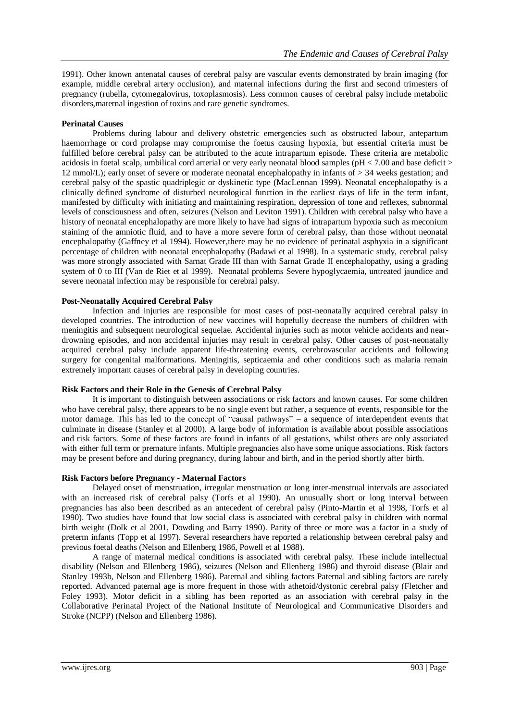1991). Other known antenatal causes of cerebral palsy are vascular events demonstrated by brain imaging (for example, middle cerebral artery occlusion), and maternal infections during the first and second trimesters of pregnancy (rubella, cytomegalovirus, toxoplasmosis). Less common causes of cerebral palsy include metabolic disorders,maternal ingestion of toxins and rare genetic syndromes.

# **Perinatal Causes**

Problems during labour and delivery obstetric emergencies such as obstructed labour, antepartum haemorrhage or cord prolapse may compromise the foetus causing hypoxia, but essential criteria must be fulfilled before cerebral palsy can be attributed to the acute intrapartum episode. These criteria are metabolic acidosis in foetal scalp, umbilical cord arterial or very early neonatal blood samples (pH < 7.00 and base deficit > 12 mmol/L); early onset of severe or moderate neonatal encephalopathy in infants of > 34 weeks gestation; and cerebral palsy of the spastic quadriplegic or dyskinetic type (MacLennan 1999). Neonatal encephalopathy is a clinically defined syndrome of disturbed neurological function in the earliest days of life in the term infant, manifested by difficulty with initiating and maintaining respiration, depression of tone and reflexes, subnormal levels of consciousness and often, seizures (Nelson and Leviton 1991). Children with cerebral palsy who have a history of neonatal encephalopathy are more likely to have had signs of intrapartum hypoxia such as meconium staining of the amniotic fluid, and to have a more severe form of cerebral palsy, than those without neonatal encephalopathy (Gaffney et al 1994). However,there may be no evidence of perinatal asphyxia in a significant percentage of children with neonatal encephalopathy (Badawi et al 1998). In a systematic study, cerebral palsy was more strongly associated with Sarnat Grade III than with Sarnat Grade II encephalopathy, using a grading system of 0 to III (Van de Riet et al 1999). Neonatal problems Severe hypoglycaemia, untreated jaundice and severe neonatal infection may be responsible for cerebral palsy.

# **Post-Neonatally Acquired Cerebral Palsy**

Infection and injuries are responsible for most cases of post-neonatally acquired cerebral palsy in developed countries. The introduction of new vaccines will hopefully decrease the numbers of children with meningitis and subsequent neurological sequelae. Accidental injuries such as motor vehicle accidents and neardrowning episodes, and non accidental injuries may result in cerebral palsy. Other causes of post-neonatally acquired cerebral palsy include apparent life-threatening events, cerebrovascular accidents and following surgery for congenital malformations. Meningitis, septicaemia and other conditions such as malaria remain extremely important causes of cerebral palsy in developing countries.

## **Risk Factors and their Role in the Genesis of Cerebral Palsy**

It is important to distinguish between associations or risk factors and known causes. For some children who have cerebral palsy, there appears to be no single event but rather, a sequence of events, responsible for the motor damage. This has led to the concept of "causal pathways" – a sequence of interdependent events that culminate in disease (Stanley et al 2000). A large body of information is available about possible associations and risk factors. Some of these factors are found in infants of all gestations, whilst others are only associated with either full term or premature infants. Multiple pregnancies also have some unique associations. Risk factors may be present before and during pregnancy, during labour and birth, and in the period shortly after birth.

## **Risk Factors before Pregnancy - Maternal Factors**

Delayed onset of menstruation, irregular menstruation or long inter-menstrual intervals are associated with an increased risk of cerebral palsy (Torfs et al 1990). An unusually short or long interval between pregnancies has also been described as an antecedent of cerebral palsy (Pinto-Martin et al 1998, Torfs et al 1990). Two studies have found that low social class is associated with cerebral palsy in children with normal birth weight (Dolk et al 2001, Dowding and Barry 1990). Parity of three or more was a factor in a study of preterm infants (Topp et al 1997). Several researchers have reported a relationship between cerebral palsy and previous foetal deaths (Nelson and Ellenberg 1986, Powell et al 1988).

A range of maternal medical conditions is associated with cerebral palsy. These include intellectual disability (Nelson and Ellenberg 1986), seizures (Nelson and Ellenberg 1986) and thyroid disease (Blair and Stanley 1993b, Nelson and Ellenberg 1986). Paternal and sibling factors Paternal and sibling factors are rarely reported. Advanced paternal age is more frequent in those with athetoid/dystonic cerebral palsy (Fletcher and Foley 1993). Motor deficit in a sibling has been reported as an association with cerebral palsy in the Collaborative Perinatal Project of the National Institute of Neurological and Communicative Disorders and Stroke (NCPP) (Nelson and Ellenberg 1986).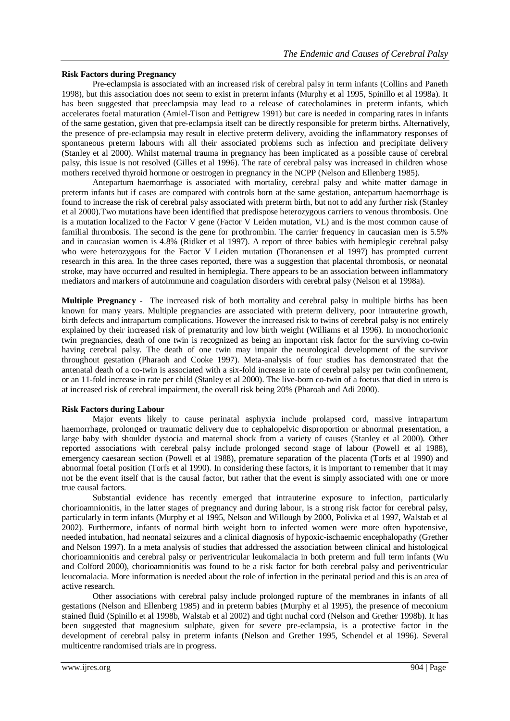## **Risk Factors during Pregnancy**

Pre-eclampsia is associated with an increased risk of cerebral palsy in term infants (Collins and Paneth 1998), but this association does not seem to exist in preterm infants (Murphy et al 1995, Spinillo et al 1998a). It has been suggested that preeclampsia may lead to a release of catecholamines in preterm infants, which accelerates foetal maturation (Amiel-Tison and Pettigrew 1991) but care is needed in comparing rates in infants of the same gestation, given that pre-eclampsia itself can be directly responsible for preterm births. Alternatively, the presence of pre-eclampsia may result in elective preterm delivery, avoiding the inflammatory responses of spontaneous preterm labours with all their associated problems such as infection and precipitate delivery (Stanley et al 2000). Whilst maternal trauma in pregnancy has been implicated as a possible cause of cerebral palsy, this issue is not resolved (Gilles et al 1996). The rate of cerebral palsy was increased in children whose mothers received thyroid hormone or oestrogen in pregnancy in the NCPP (Nelson and Ellenberg 1985).

Antepartum haemorrhage is associated with mortality, cerebral palsy and white matter damage in preterm infants but if cases are compared with controls born at the same gestation, antepartum haemorrhage is found to increase the risk of cerebral palsy associated with preterm birth, but not to add any further risk (Stanley et al 2000).Two mutations have been identified that predispose heterozygous carriers to venous thrombosis. One is a mutation localized to the Factor V gene (Factor V Leiden mutation, VL) and is the most common cause of familial thrombosis. The second is the gene for prothrombin. The carrier frequency in caucasian men is 5.5% and in caucasian women is 4.8% (Ridker et al 1997). A report of three babies with hemiplegic cerebral palsy who were heterozygous for the Factor V Leiden mutation (Thoranensen et al 1997) has prompted current research in this area. In the three cases reported, there was a suggestion that placental thrombosis, or neonatal stroke, may have occurred and resulted in hemiplegia. There appears to be an association between inflammatory mediators and markers of autoimmune and coagulation disorders with cerebral palsy (Nelson et al 1998a).

**Multiple Pregnancy -** The increased risk of both mortality and cerebral palsy in multiple births has been known for many years. Multiple pregnancies are associated with preterm delivery, poor intrauterine growth, birth defects and intrapartum complications. However the increased risk to twins of cerebral palsy is not entirely explained by their increased risk of prematurity and low birth weight (Williams et al 1996). In monochorionic twin pregnancies, death of one twin is recognized as being an important risk factor for the surviving co-twin having cerebral palsy. The death of one twin may impair the neurological development of the survivor throughout gestation (Pharaoh and Cooke 1997). Meta-analysis of four studies has demonstrated that the antenatal death of a co-twin is associated with a six-fold increase in rate of cerebral palsy per twin confinement, or an 11-fold increase in rate per child (Stanley et al 2000). The live-born co-twin of a foetus that died in utero is at increased risk of cerebral impairment, the overall risk being 20% (Pharoah and Adi 2000).

## **Risk Factors during Labour**

Major events likely to cause perinatal asphyxia include prolapsed cord, massive intrapartum haemorrhage, prolonged or traumatic delivery due to cephalopelvic disproportion or abnormal presentation, a large baby with shoulder dystocia and maternal shock from a variety of causes (Stanley et al 2000). Other reported associations with cerebral palsy include prolonged second stage of labour (Powell et al 1988), emergency caesarean section (Powell et al 1988), premature separation of the placenta (Torfs et al 1990) and abnormal foetal position (Torfs et al 1990). In considering these factors, it is important to remember that it may not be the event itself that is the causal factor, but rather that the event is simply associated with one or more true causal factors.

Substantial evidence has recently emerged that intrauterine exposure to infection, particularly chorioamnionitis, in the latter stages of pregnancy and during labour, is a strong risk factor for cerebral palsy, particularly in term infants (Murphy et al 1995, Nelson and Willough by 2000, Polivka et al 1997, Walstab et al 2002). Furthermore, infants of normal birth weight born to infected women were more often hypotensive, needed intubation, had neonatal seizures and a clinical diagnosis of hypoxic-ischaemic encephalopathy (Grether and Nelson 1997). In a meta analysis of studies that addressed the association between clinical and histological chorioamnionitis and cerebral palsy or periventricular leukomalacia in both preterm and full term infants (Wu and Colford 2000), chorioamnionitis was found to be a risk factor for both cerebral palsy and periventricular leucomalacia. More information is needed about the role of infection in the perinatal period and this is an area of active research.

Other associations with cerebral palsy include prolonged rupture of the membranes in infants of all gestations (Nelson and Ellenberg 1985) and in preterm babies (Murphy et al 1995), the presence of meconium stained fluid (Spinillo et al 1998b, Walstab et al 2002) and tight nuchal cord (Nelson and Grether 1998b). It has been suggested that magnesium sulphate, given for severe pre-eclampsia, is a protective factor in the development of cerebral palsy in preterm infants (Nelson and Grether 1995, Schendel et al 1996). Several multicentre randomised trials are in progress.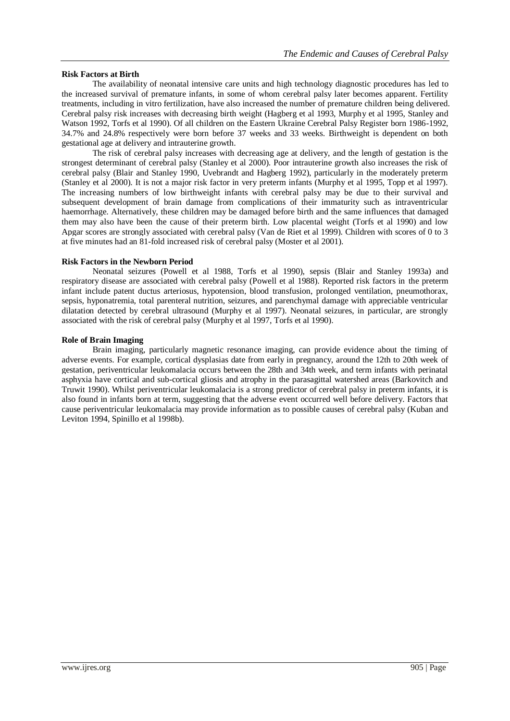## **Risk Factors at Birth**

The availability of neonatal intensive care units and high technology diagnostic procedures has led to the increased survival of premature infants, in some of whom cerebral palsy later becomes apparent. Fertility treatments, including in vitro fertilization, have also increased the number of premature children being delivered. Cerebral palsy risk increases with decreasing birth weight (Hagberg et al 1993, Murphy et al 1995, Stanley and Watson 1992, Torfs et al 1990). Of all children on the Eastern Ukraine Cerebral Palsy Register born 1986-1992, 34.7% and 24.8% respectively were born before 37 weeks and 33 weeks. Birthweight is dependent on both gestational age at delivery and intrauterine growth.

The risk of cerebral palsy increases with decreasing age at delivery, and the length of gestation is the strongest determinant of cerebral palsy (Stanley et al 2000). Poor intrauterine growth also increases the risk of cerebral palsy (Blair and Stanley 1990, Uvebrandt and Hagberg 1992), particularly in the moderately preterm (Stanley et al 2000). It is not a major risk factor in very preterm infants (Murphy et al 1995, Topp et al 1997). The increasing numbers of low birthweight infants with cerebral palsy may be due to their survival and subsequent development of brain damage from complications of their immaturity such as intraventricular haemorrhage. Alternatively, these children may be damaged before birth and the same influences that damaged them may also have been the cause of their preterm birth. Low placental weight (Torfs et al 1990) and low Apgar scores are strongly associated with cerebral palsy (Van de Riet et al 1999). Children with scores of 0 to 3 at five minutes had an 81-fold increased risk of cerebral palsy (Moster et al 2001).

# **Risk Factors in the Newborn Period**

Neonatal seizures (Powell et al 1988, Torfs et al 1990), sepsis (Blair and Stanley 1993a) and respiratory disease are associated with cerebral palsy (Powell et al 1988). Reported risk factors in the preterm infant include patent ductus arteriosus, hypotension, blood transfusion, prolonged ventilation, pneumothorax, sepsis, hyponatremia, total parenteral nutrition, seizures, and parenchymal damage with appreciable ventricular dilatation detected by cerebral ultrasound (Murphy et al 1997). Neonatal seizures, in particular, are strongly associated with the risk of cerebral palsy (Murphy et al 1997, Torfs et al 1990).

## **Role of Brain Imaging**

Brain imaging, particularly magnetic resonance imaging, can provide evidence about the timing of adverse events. For example, cortical dysplasias date from early in pregnancy, around the 12th to 20th week of gestation, periventricular leukomalacia occurs between the 28th and 34th week, and term infants with perinatal asphyxia have cortical and sub-cortical gliosis and atrophy in the parasagittal watershed areas (Barkovitch and Truwit 1990). Whilst periventricular leukomalacia is a strong predictor of cerebral palsy in preterm infants, it is also found in infants born at term, suggesting that the adverse event occurred well before delivery. Factors that cause periventricular leukomalacia may provide information as to possible causes of cerebral palsy (Kuban and Leviton 1994, Spinillo et al 1998b).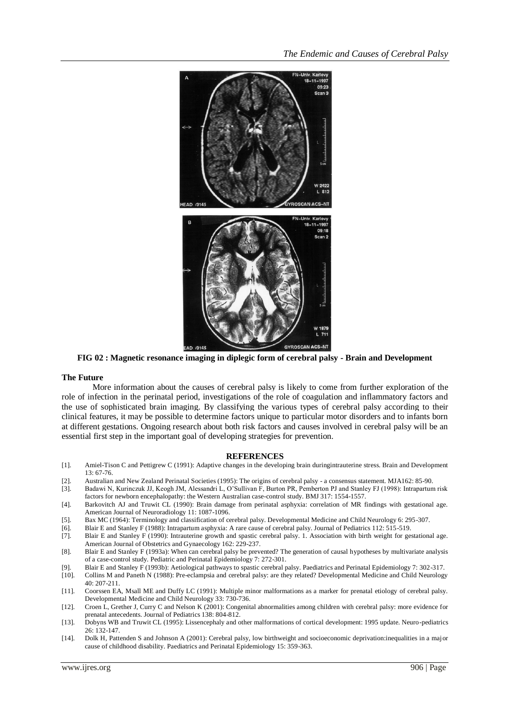

**FIG 02 : Magnetic resonance imaging in diplegic form of cerebral palsy - Brain and Development**

## **The Future**

More information about the causes of cerebral palsy is likely to come from further exploration of the role of infection in the perinatal period, investigations of the role of coagulation and inflammatory factors and the use of sophisticated brain imaging. By classifying the various types of cerebral palsy according to their clinical features, it may be possible to determine factors unique to particular motor disorders and to infants born at different gestations. Ongoing research about both risk factors and causes involved in cerebral palsy will be an essential first step in the important goal of developing strategies for prevention.

#### **REFERENCES**

- [1]. Amiel-Tison C and Pettigrew C (1991): Adaptive changes in the developing brain duringintrauterine stress. Brain and Development 13: 67-76.
- [2]. Australian and New Zealand Perinatal Societies (1995): The origins of cerebral palsy a consensus statement. MJA162: 85-90.
- [3]. Badawi N, Kurinczuk JJ, Keogh JM, Alessandri L, O'Sullivan F, Burton PR, Pemberton PJ and Stanley FJ (1998): Intrapartum risk factors for newborn encephalopathy: the Western Australian case-control study. BMJ 317: 1554-1557.
- [4]. Barkovitch AJ and Truwit CL (1990): Brain damage from perinatal asphyxia: correlation of MR findings with gestational age. American Journal of Neuroradiology 11: 1087-1096.
- [5]. Bax MC (1964): Terminology and classification of cerebral palsy. Developmental Medicine and Child Neurology 6: 295-307.
- [6]. Blair E and Stanley F (1988): Intrapartum asphyxia: A rare cause of cerebral palsy. Journal of Pediatrics 112: 515-519.
- [7]. Blair E and Stanley F (1990): Intrauterine growth and spastic cerebral palsy. 1. Association with birth weight for gestational age. American Journal of Obstetrics and Gynaecology 162: 229-237.
- [8]. Blair E and Stanley F (1993a): When can cerebral palsy be prevented? The generation of causal hypotheses by multivariate analysis of a case-control study. Pediatric and Perinatal Epidemiology 7: 272-301.
- [9]. Blair E and Stanley F (1993b): Aetiological pathways to spastic cerebral palsy. Paediatrics and Perinatal Epidemiology 7: 302-317.
- [10]. Collins M and Paneth N (1988): Pre-eclampsia and cerebral palsy: are they related? Developmental Medicine and Child Neurology 40: 207-211.
- [11]. Coorssen EA, Msall ME and Duffy LC (1991): Multiple minor malformations as a marker for prenatal etiology of cerebral palsy. Developmental Medicine and Child Neurology 33: 730-736.
- [12]. Croen L, Grether J, Curry C and Nelson K (2001): Congenital abnormalities among children with cerebral palsy: more evidence for prenatal antecedents. Journal of Pediatrics 138: 804-812.
- [13]. Dobyns WB and Truwit CL (1995): Lissencephaly and other malformations of cortical development: 1995 update. Neuro-pediatrics 26: 132-147.
- [14]. Dolk H, Pattenden S and Johnson A (2001): Cerebral palsy, low birthweight and socioeconomic deprivation:inequalities in a major cause of childhood disability. Paediatrics and Perinatal Epidemiology 15: 359-363.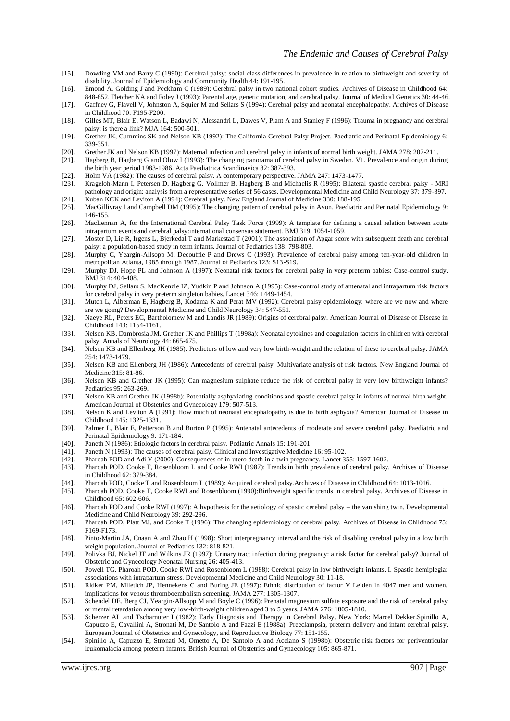- [15]. Dowding VM and Barry C (1990): Cerebral palsy: social class differences in prevalence in relation to birthweight and severity of disability. Journal of Epidemiology and Community Health 44: 191-195.
- [16]. Emond A, Golding J and Peckham C (1989): Cerebral palsy in two national cohort studies. Archives of Disease in Childhood 64: 848-852. Fletcher NA and Foley J (1993): Parental age, genetic mutation, and cerebral palsy. Journal of Medical Genetics 30: 44-46.
- [17]. Gaffney G, Flavell V, Johnston A, Squier M and Sellars S (1994): Cerebral palsy and neonatal encephalopathy. Archives of Disease in Childhood 70: F195-F200.
- [18]. Gilles MT, Blair E, Watson L, Badawi N, Alessandri L, Dawes V, Plant A and Stanley F (1996): Trauma in pregnancy and cerebral palsy: is there a link? MJA 164: 500-501.
- [19]. Grether JK, Cummins SK and Nelson KB (1992): The California Cerebral Palsy Project. Paediatric and Perinatal Epidemiology 6: 339-351.
- [20]. Grether JK and Nelson KB (1997): Maternal infection and cerebral palsy in infants of normal birth weight. JAMA 278: 207-211.
- [21]. Hagberg B, Hagberg G and Olow I (1993): The changing panorama of cerebral palsy in Sweden. V1. Prevalence and origin during the birth year period 1983-1986. Acta Paediatrica Scandinavica 82: 387-393.
- 
- [22]. Holm VA (1982): The causes of cerebral palsy. A contemporary perspective. JAMA 247: 1473-1477. Krageloh-Mann I, Petersen D, Hagberg G, Vollmer B, Hagberg B and Michaelis R (1995): Bilateral spastic cerebral palsy - MRI pathology and origin: analysis from a representative series of 56 cases. Developmental Medicine and Child Neurology 37: 379-397. [24]. Kuban KCK and Leviton A (1994): Cerebral palsy. New England Journal of Medicine 330: 188-195.
- [25]. MacGillivray I and Campbell DM (1995): The changing pattern of cerebral palsy in Avon. Paediatric and Perinatal Epidemiology 9: 146-155.
- [26]. MacLennan A, for the International Cerebral Palsy Task Force (1999): A template for defining a causal relation between acute intrapartum events and cerebral palsy:international consensus statement. BMJ 319: 1054-1059.
- [27]. Moster D, Lie R, Irgens L, Bjerkedal T and Markestad T (2001): The association of Apgar score with subsequent death and cerebral palsy: a population-based study in term infants. Journal of Pediatrics 138: 798-803.
- [28]. Murphy C, Yeargin-Allsopp M, Decouffle P and Drews C (1993): Prevalence of cerebral palsy among ten-year-old children in metropolitan Atlanta, 1985 through 1987. Journal of Pediatrics 123: S13-S19.
- [29]. Murphy DJ, Hope PL and Johnson A (1997): Neonatal risk factors for cerebral palsy in very preterm babies: Case-control study. BMJ 314: 404-408.
- [30]. Murphy DJ, Sellars S, MacKenzie IZ, Yudkin P and Johnson A (1995): Case-control study of antenatal and intrapartum risk factors for cerebral palsy in very preterm singleton babies. Lancet 346: 1449-1454.
- [31]. Mutch L, Alberman E, Hagberg B, Kodama K and Perat MV (1992): Cerebral palsy epidemiology: where are we now and where are we going? Developmental Medicine and Child Neurology 34: 547-551.
- [32]. Naeye RL, Peters EC, Bartholomew M and Landis JR (1989): Origins of cerebral palsy. American Journal of Disease of Disease in Childhood 143: 1154-1161.
- [33]. Nelson KB, Dambrosia JM, Grether JK and Phillips T (1998a): Neonatal cytokines and coagulation factors in children with cerebral palsy. Annals of Neurology 44: 665-675.
- [34]. Nelson KB and Ellenberg JH (1985): Predictors of low and very low birth-weight and the relation of these to cerebral palsy. JAMA 254: 1473-1479.
- [35]. Nelson KB and Ellenberg JH (1986): Antecedents of cerebral palsy. Multivariate analysis of risk factors. New England Journal of Medicine 315: 81-86.
- [36]. Nelson KB and Grether JK (1995): Can magnesium sulphate reduce the risk of cerebral palsy in very low birthweight infants? Pediatrics 95: 263-269.
- [37]. Nelson KB and Grether JK (1998b): Potentially asphyxiating conditions and spastic cerebral palsy in infants of normal birth weight. American Journal of Obstetrics and Gynecology 179: 507-513.
- [38]. Nelson K and Leviton A (1991): How much of neonatal encephalopathy is due to birth asphyxia? American Journal of Disease in Childhood 145: 1325-1331.
- [39]. Palmer L, Blair E, Petterson B and Burton P (1995): Antenatal antecedents of moderate and severe cerebral palsy. Paediatric and Perinatal Epidemiology 9: 171-184.
- [40]. Paneth N (1986): Etiologic factors in cerebral palsy. Pediatric Annals 15: 191-201.
- [41]. Paneth N (1993): The causes of cerebral palsy. Clinical and Investigative Medicine 16: 95-102.
- [42]. Pharoah POD and Adi Y (2000): Consequences of in-utero death in a twin pregnancy. Lancet 355: 1597-1602.
- [43]. Pharoah POD, Cooke T, Rosenbloom L and Cooke RWI (1987): Trends in birth prevalence of cerebral palsy. Archives of Disease in Childhood 62: 379-384.
- 
- [44]. Pharoah POD, Cooke T and Rosenbloom L (1989): Acquired cerebral palsy.Archives of Disease in Childhood 64: 1013-1016. [45]. Pharoah POD, Cooke T, Cooke RWI and Rosenbloom (1990):Birthweight specific trends in cerebral palsy. Archives of Disease in Childhood 65: 602-606.
- [46]. Pharoah POD and Cooke RWI (1997): A hypothesis for the aetiology of spastic cerebral palsy the vanishing twin. Developmental Medicine and Child Neurology 39: 292-296.
- [47]. Pharoah POD, Platt MJ, and Cooke T (1996): The changing epidemiology of cerebral palsy. Archives of Disease in Childhood 75: F169-F173.
- [48]. Pinto-Martin JA, Cnaan A and Zhao H (1998): Short interpregnancy interval and the risk of disabling cerebral palsy in a low birth weight population. Journal of Pediatrics 132: 818-821.
- [49]. Polivka BJ, Nickel JT and Wilkins JR (1997): Urinary tract infection during pregnancy: a risk factor for cerebral palsy? Journal of Obstetric and Gynecology Neonatal Nursing 26: 405-413.
- [50]. Powell TG, Pharoah POD, Cooke RWI and Rosenbloom L (1988): Cerebral palsy in low birthweight infants. I. Spastic hemiplegia: associations with intrapartum stress. Developmental Medicine and Child Neurology 30: 11-18.
- [51]. Ridker PM, Miletich JP, Hennekens C and Buring JE (1997): Ethnic distribution of factor V Leiden in 4047 men and women, implications for venous thromboembolism screening. JAMA 277: 1305-1307.
- [52]. Schendel DE, Berg CJ, Yeargin-Allsopp M and Boyle C (1996): Prenatal magnesium sulfate exposure and the risk of cerebral palsy or mental retardation among very low-birth-weight children aged 3 to 5 years. JAMA 276: 1805-1810.
- [53]. Scherzer AL and Tscharnuter I (1982): Early Diagnosis and Therapy in Cerebral Palsy. New York: Marcel Dekker.Spinillo A, Capuzzo E, Cavallini A, Stronati M, De Santolo A and Fazzi E (1988a): Preeclampsia, preterm delivery and infant cerebral palsy. European Journal of Obstetrics and Gynecology, and Reproductive Biology 77: 151-155.
- [54]. Spinillo A, Capuzzo E, Stronati M, Ometto A, De Santolo A and Acciano S (1998b): Obstetric risk factors for periventricular leukomalacia among preterm infants. British Journal of Obstetrics and Gynaecology 105: 865-871.